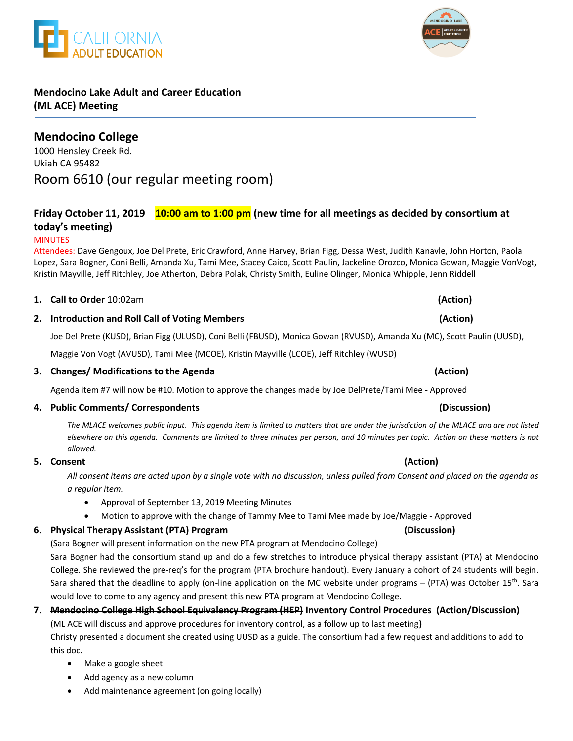

# **Mendocino Lake Adult and Career Education (ML ACE) Meeting**

**ALIFORNIA** 

# **Mendocino College**

1000 Hensley Creek Rd. Ukiah CA 95482 Room 6610 (our regular meeting room)

# **Friday October 11, 2019 10:00 am to 1:00 pm (new time for all meetings as decided by consortium at today's meeting)**

### MINUTES

Attendees: Dave Gengoux, Joe Del Prete, Eric Crawford, Anne Harvey, Brian Figg, Dessa West, Judith Kanavle, John Horton, Paola Lopez, Sara Bogner, Coni Belli, Amanda Xu, Tami Mee, Stacey Caico, Scott Paulin, Jackeline Orozco, Monica Gowan, Maggie VonVogt, Kristin Mayville, Jeff Ritchley, Joe Atherton, Debra Polak, Christy Smith, Euline Olinger, Monica Whipple, Jenn Riddell

### **1. Call to Order** 10:02am **(Action)**

### **2. Introduction and Roll Call of Voting Members (Action)**

Joe Del Prete (KUSD), Brian Figg (ULUSD), Coni Belli (FBUSD), Monica Gowan (RVUSD), Amanda Xu (MC), Scott Paulin (UUSD),

Maggie Von Vogt (AVUSD), Tami Mee (MCOE), Kristin Mayville (LCOE), Jeff Ritchley (WUSD)

### **3. Changes/ Modifications to the Agenda (Action)**

Agenda item #7 will now be #10. Motion to approve the changes made by Joe DelPrete/Tami Mee - Approved

### **4. Public Comments/ Correspondents (Discussion)**

*The MLACE welcomes public input. This agenda item is limited to matters that are under the jurisdiction of the MLACE and are not listed elsewhere on this agenda. Comments are limited to three minutes per person, and 10 minutes per topic. Action on these matters is not allowed.*

### **5. Consent (Action)**

*All consent items are acted upon by a single vote with no discussion, unless pulled from Consent and placed on the agenda as a regular item.* 

- Approval of September 13, 2019 Meeting Minutes
- Motion to approve with the change of Tammy Mee to Tami Mee made by Joe/Maggie Approved

### **6. Physical Therapy Assistant (PTA) Program (Discussion)**

(Sara Bogner will present information on the new PTA program at Mendocino College)

Sara Bogner had the consortium stand up and do a few stretches to introduce physical therapy assistant (PTA) at Mendocino College. She reviewed the pre-req's for the program (PTA brochure handout). Every January a cohort of 24 students will begin. Sara shared that the deadline to apply (on-line application on the MC website under programs – (PTA) was October 15<sup>th</sup>. Sara would love to come to any agency and present this new PTA program at Mendocino College.

### **7. Mendocino College High School Equivalency Program (HEP) Inventory Control Procedures (Action/Discussion)**

(ML ACE will discuss and approve procedures for inventory control, as a follow up to last meeting**)**

Christy presented a document she created using UUSD as a guide. The consortium had a few request and additions to add to this doc.

- Make a google sheet
- Add agency as a new column
- Add maintenance agreement (on going locally)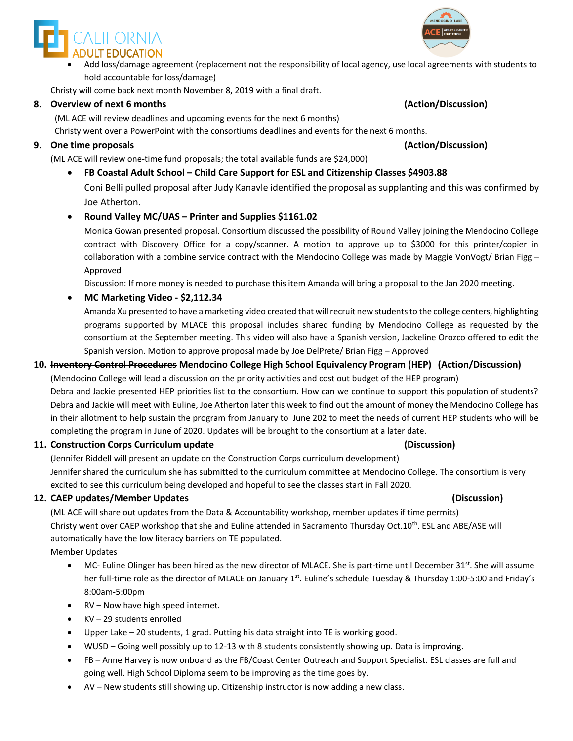

 Add loss/damage agreement (replacement not the responsibility of local agency, use local agreements with students to hold accountable for loss/damage)

Christy will come back next month November 8, 2019 with a final draft.

### **8. Overview of next 6 months (Action/Discussion)**

(ML ACE will review deadlines and upcoming events for the next 6 months) Christy went over a PowerPoint with the consortiums deadlines and events for the next 6 months.

### **9. One time proposals (Action/Discussion)**

(ML ACE will review one-time fund proposals; the total available funds are \$24,000)

**FB Coastal Adult School – Child Care Support for ESL and Citizenship Classes \$4903.88**

Coni Belli pulled proposal after Judy Kanavle identified the proposal as supplanting and this was confirmed by Joe Atherton.

### **Round Valley MC/UAS – Printer and Supplies \$1161.02**

Monica Gowan presented proposal. Consortium discussed the possibility of Round Valley joining the Mendocino College contract with Discovery Office for a copy/scanner. A motion to approve up to \$3000 for this printer/copier in collaboration with a combine service contract with the Mendocino College was made by Maggie VonVogt/ Brian Figg -Approved

Discussion: If more money is needed to purchase this item Amanda will bring a proposal to the Jan 2020 meeting.

### **MC Marketing Video - \$2,112.34**

Amanda Xu presented to have a marketing video created that will recruit new students to the college centers, highlighting programs supported by MLACE this proposal includes shared funding by Mendocino College as requested by the consortium at the September meeting. This video will also have a Spanish version, Jackeline Orozco offered to edit the Spanish version. Motion to approve proposal made by Joe DelPrete/ Brian Figg – Approved

### **10. Inventory Control Procedures Mendocino College High School Equivalency Program (HEP) (Action/Discussion)**

(Mendocino College will lead a discussion on the priority activities and cost out budget of the HEP program) Debra and Jackie presented HEP priorities list to the consortium. How can we continue to support this population of students? Debra and Jackie will meet with Euline, Joe Atherton later this week to find out the amount of money the Mendocino College has in their allotment to help sustain the program from January to June 202 to meet the needs of current HEP students who will be completing the program in June of 2020. Updates will be brought to the consortium at a later date.

### **11. Construction Corps Curriculum update (Discussion)**

(Jennifer Riddell will present an update on the Construction Corps curriculum development) Jennifer shared the curriculum she has submitted to the curriculum committee at Mendocino College. The consortium is very excited to see this curriculum being developed and hopeful to see the classes start in Fall 2020.

### **12. CAEP updates/Member Updates (Discussion)**

(ML ACE will share out updates from the Data & Accountability workshop, member updates if time permits) Christy went over CAEP workshop that she and Euline attended in Sacramento Thursday Oct.10<sup>th</sup>. ESL and ABE/ASE will automatically have the low literacy barriers on TE populated.

Member Updates

- MC- Euline Olinger has been hired as the new director of MLACE. She is part-time until December  $31^{st}$ . She will assume her full-time role as the director of MLACE on January 1<sup>st</sup>. Euline's schedule Tuesday & Thursday 1:00-5:00 and Friday's 8:00am-5:00pm
- RV Now have high speed internet.
- KV 29 students enrolled
- Upper Lake 20 students, 1 grad. Putting his data straight into TE is working good.
- WUSD Going well possibly up to 12-13 with 8 students consistently showing up. Data is improving.
- FB Anne Harvey is now onboard as the FB/Coast Center Outreach and Support Specialist. ESL classes are full and going well. High School Diploma seem to be improving as the time goes by.
- AV New students still showing up. Citizenship instructor is now adding a new class.